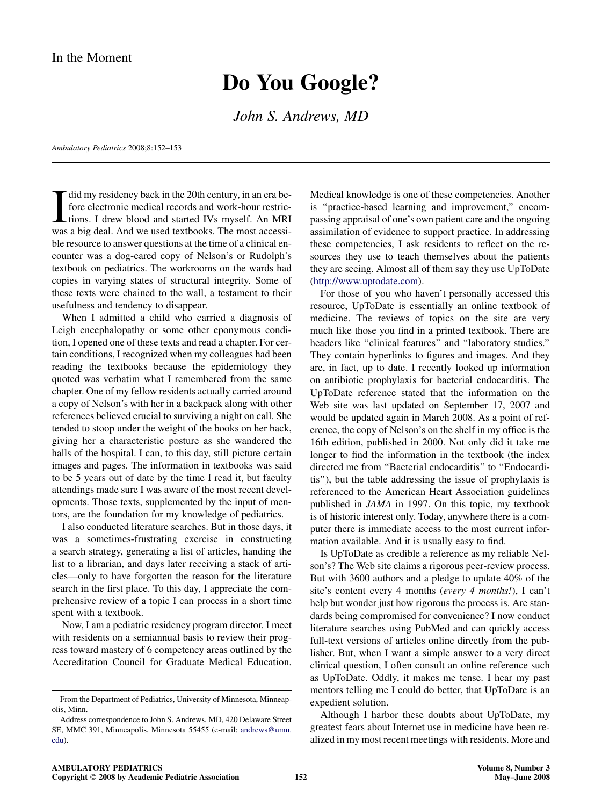## Do You Google?

John S. Andrews, MD

Ambulatory Pediatrics 2008;8:152–153

 $\prod_{\text{was}}$ did my residency back in the 20th century, in an era before electronic medical records and work-hour restrictions. I drew blood and started IVs myself. An MRI was a big deal. And we used textbooks. The most accessible resource to answer questions at the time of a clinical encounter was a dog-eared copy of Nelson's or Rudolph's textbook on pediatrics. The workrooms on the wards had copies in varying states of structural integrity. Some of these texts were chained to the wall, a testament to their usefulness and tendency to disappear.

When I admitted a child who carried a diagnosis of Leigh encephalopathy or some other eponymous condition, I opened one of these texts and read a chapter. For certain conditions, I recognized when my colleagues had been reading the textbooks because the epidemiology they quoted was verbatim what I remembered from the same chapter. One of my fellow residents actually carried around a copy of Nelson's with her in a backpack along with other references believed crucial to surviving a night on call. She tended to stoop under the weight of the books on her back, giving her a characteristic posture as she wandered the halls of the hospital. I can, to this day, still picture certain images and pages. The information in textbooks was said to be 5 years out of date by the time I read it, but faculty attendings made sure I was aware of the most recent developments. Those texts, supplemented by the input of mentors, are the foundation for my knowledge of pediatrics.

I also conducted literature searches. But in those days, it was a sometimes-frustrating exercise in constructing a search strategy, generating a list of articles, handing the list to a librarian, and days later receiving a stack of articles—only to have forgotten the reason for the literature search in the first place. To this day, I appreciate the comprehensive review of a topic I can process in a short time spent with a textbook.

Now, I am a pediatric residency program director. I meet with residents on a semiannual basis to review their progress toward mastery of 6 competency areas outlined by the Accreditation Council for Graduate Medical Education.

Medical knowledge is one of these competencies. Another is ''practice-based learning and improvement,'' encompassing appraisal of one's own patient care and the ongoing assimilation of evidence to support practice. In addressing these competencies, I ask residents to reflect on the resources they use to teach themselves about the patients they are seeing. Almost all of them say they use UpToDate (<http://www.uptodate.com>).

For those of you who haven't personally accessed this resource, UpToDate is essentially an online textbook of medicine. The reviews of topics on the site are very much like those you find in a printed textbook. There are headers like "clinical features" and "laboratory studies." They contain hyperlinks to figures and images. And they are, in fact, up to date. I recently looked up information on antibiotic prophylaxis for bacterial endocarditis. The UpToDate reference stated that the information on the Web site was last updated on September 17, 2007 and would be updated again in March 2008. As a point of reference, the copy of Nelson's on the shelf in my office is the 16th edition, published in 2000. Not only did it take me longer to find the information in the textbook (the index directed me from ''Bacterial endocarditis'' to ''Endocarditis''), but the table addressing the issue of prophylaxis is referenced to the American Heart Association guidelines published in JAMA in 1997. On this topic, my textbook is of historic interest only. Today, anywhere there is a computer there is immediate access to the most current information available. And it is usually easy to find.

Is UpToDate as credible a reference as my reliable Nelson's? The Web site claims a rigorous peer-review process. But with 3600 authors and a pledge to update 40% of the site's content every 4 months (every 4 months!), I can't help but wonder just how rigorous the process is. Are standards being compromised for convenience? I now conduct literature searches using PubMed and can quickly access full-text versions of articles online directly from the publisher. But, when I want a simple answer to a very direct clinical question, I often consult an online reference such as UpToDate. Oddly, it makes me tense. I hear my past mentors telling me I could do better, that UpToDate is an expedient solution.

Although I harbor these doubts about UpToDate, my greatest fears about Internet use in medicine have been realized in my most recent meetings with residents. More and

From the Department of Pediatrics, University of Minnesota, Minneapolis, Minn.

Address correspondence to John S. Andrews, MD, 420 Delaware Street SE, MMC 391, Minneapolis, Minnesota 55455 (e-mail: [andrews@umn.](mailto:andrews@umn.edu) [edu\)](mailto:andrews@umn.edu).